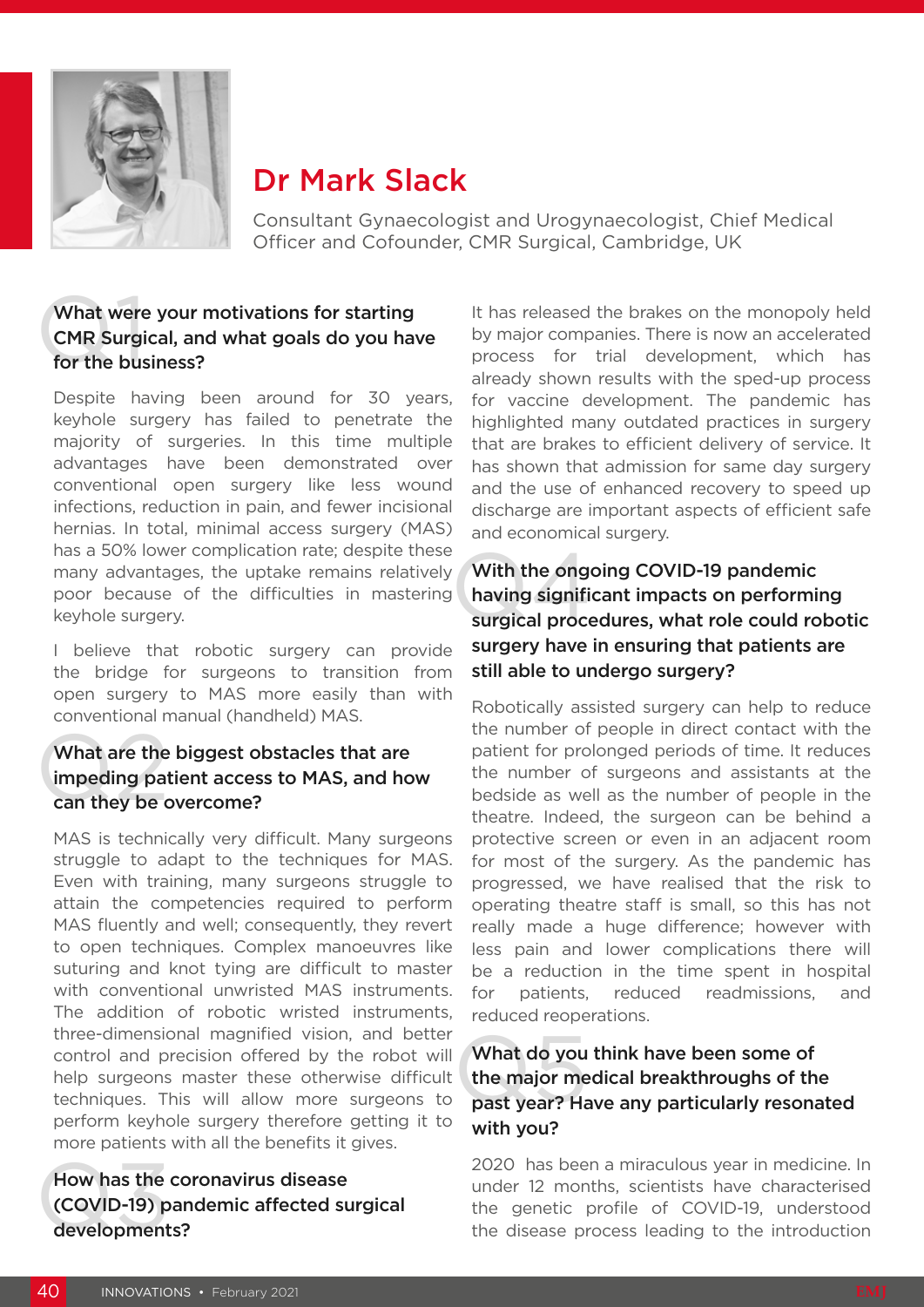

# Dr Mark Slack

Consultant Gynaecologist and Urogynaecologist, Chief Medical Officer and Cofounder, CMR Surgical, Cambridge, UK

### What were your motivations for starting CMR Surgical, and what goals do you have for the business?

Despite having been around for 30 years, keyhole surgery has failed to penetrate the majority of surgeries. In this time multiple advantages have been demonstrated over conventional open surgery like less wound infections, reduction in pain, and fewer incisional hernias. In total, minimal access surgery (MAS) has a 50% lower complication rate; despite these many advantages, the uptake remains relatively poor because of the difficulties in mastering keyhole surgery.

I believe that robotic surgery can provide the bridge for surgeons to transition from open surgery to MAS more easily than with conventional manual (handheld) MAS.

## What are the biggest o<br>impeding patient acces<br>can they be overcome? What are the biggest obstacles that are impeding patient access to MAS, and how

MAS is technically very difficult. Many surgeons struggle to adapt to the techniques for MAS. Even with training, many surgeons struggle to attain the competencies required to perform MAS fluently and well; consequently, they revert to open techniques. Complex manoeuvres like suturing and knot tying are difficult to master with conventional unwristed MAS instruments. The addition of robotic wristed instruments, three-dimensional magnified vision, and better control and precision offered by the robot will help surgeons master these otherwise difficult techniques. This will allow more surgeons to perform keyhole surgery therefore getting it to more patients with all the benefits it gives.

How has the co<br>(COVID-19) par<br>developments? How has the coronavirus disease (COVID-19) pandemic affected surgical It has released the brakes on the monopoly held by major companies. There is now an accelerated process for trial development, which has already shown results with the sped-up process for vaccine development. The pandemic has highlighted many outdated practices in surgery that are brakes to efficient delivery of service. It has shown that admission for same day surgery and the use of enhanced recovery to speed up discharge are important aspects of efficient safe and economical surgery.

### With the ongoing COVID-19 pandemic<br>having significant impacts on performing<br>surgical procedures, what role could robotic With the ongoing COVID-19 pandemic having significant impacts on performing surgery have in ensuring that patients are still able to undergo surgery?

Robotically assisted surgery can help to reduce the number of people in direct contact with the patient for prolonged periods of time. It reduces the number of surgeons and assistants at the bedside as well as the number of people in the theatre. Indeed, the surgeon can be behind a protective screen or even in an adjacent room for most of the surgery. As the pandemic has progressed, we have realised that the risk to operating theatre staff is small, so this has not really made a huge difference; however with less pain and lower complications there will be a reduction in the time spent in hospital for patients, reduced readmissions, and reduced reoperations.

### What do you think have been some of<br>the major medical breakthroughs of the<br>past year? Have any particularly resonated What do you think have been some of the major medical breakthroughs of the with you?

2020 has been a miraculous year in medicine. In under 12 months, scientists have characterised the genetic profile of COVID-19, understood the disease process leading to the introduction